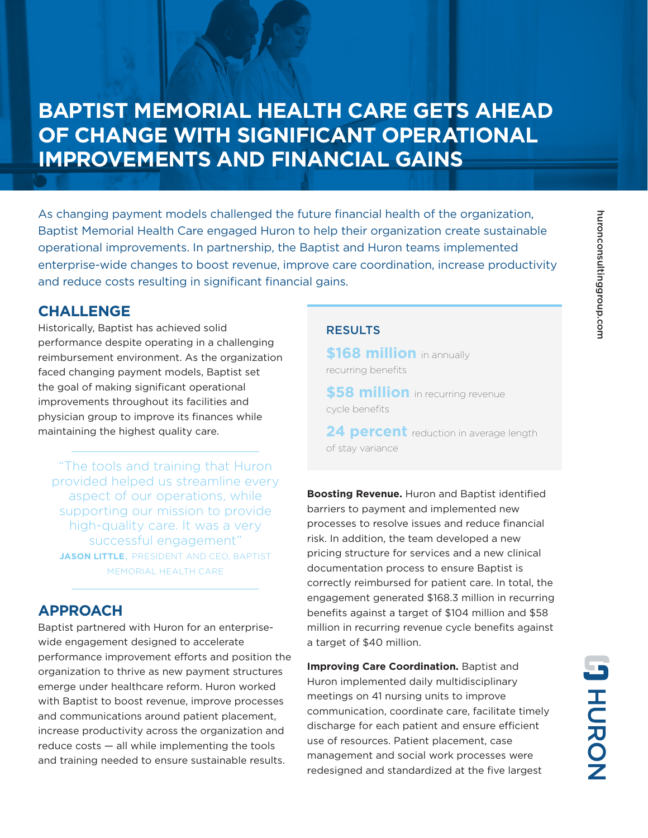# **BAPTIST MEMORIAL HEALTH CARE GETS AHEAD OF CHANGE WITH SIGNIFICANT OPERATIONAL IMPROVEMENTS AND FINANCIAL GAINS**

As changing payment models challenged the future financial health of the organization, Baptist Memorial Health Care engaged Huron to help their organization create sustainable operational improvements. In partnership, the Baptist and Huron teams implemented enterprise-wide changes to boost revenue, improve care coordination, increase productivity and reduce costs resulting in significant financial gains.

### **CHALLENGE**

Historically, Baptist has achieved solid performance despite operating in a challenging reimbursement environment. As the organization faced changing payment models, Baptist set the goal of making significant operational improvements throughout its facilities and physician group to improve its finances while maintaining the highest quality care.

"The tools and training that Huron provided helped us streamline every aspect of our operations, while supporting our mission to provide high-quality care. It was a very successful engagement" **JASON LITTLE**, PRESIDENT AND CEO, BAPTIST MEMORIAL HEALTH CARE

## **APPROACH**

Baptist partnered with Huron for an enterprisewide engagement designed to accelerate performance improvement efforts and position the organization to thrive as new payment structures emerge under healthcare reform. Huron worked with Baptist to boost revenue, improve processes and communications around patient placement, increase productivity across the organization and reduce costs — all while implementing the tools and training needed to ensure sustainable results.

### **RESULTS**

**\$168 million** in annually recurring benefits

**\$58 million** in recurring revenue cycle benefits

**24 percent** reduction in average length of stay variance

**Boosting Revenue.** Huron and Baptist identified barriers to payment and implemented new processes to resolve issues and reduce financial risk. In addition, the team developed a new pricing structure for services and a new clinical documentation process to ensure Baptist is correctly reimbursed for patient care. In total, the engagement generated \$168.3 million in recurring benefits against a target of \$104 million and \$58 million in recurring revenue cycle benefits against a target of \$40 million.

**Improving Care Coordination.** Baptist and Huron implemented daily multidisciplinary meetings on 41 nursing units to improve communication, coordinate care, facilitate timely discharge for each patient and ensure efficient use of resources. Patient placement, case management and social work processes were redesigned and standardized at the five largest